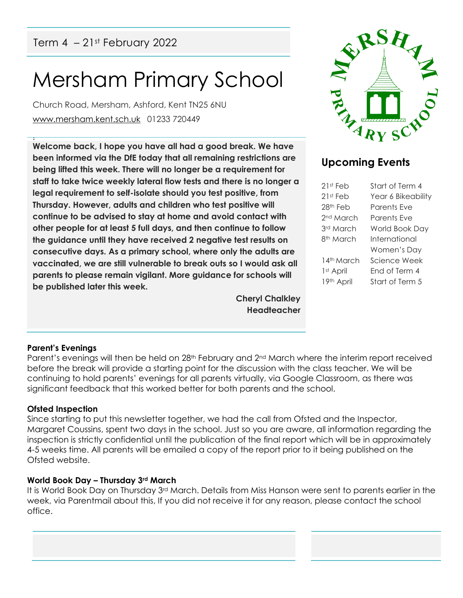## Mersham Primary School

Church Road, Mersham, Ashford, Kent TN25 6NU [www.mersham.kent.sch.uk](http://www.mersham.kent.sch.uk/) 01233 720449

! **Welcome back, I hope you have all had a good break. We have been informed via the DfE today that all remaining restrictions are being lifted this week. There will no longer be a requirement for staff to take twice weekly lateral flow tests and there is no longer a legal requirement to self-isolate should you test positive, from Thursday. However, adults and children who test positive will continue to be advised to stay at home and avoid contact with other people for at least 5 full days, and then continue to follow the guidance until they have received 2 negative test results on consecutive days. As a primary school, where only the adults are vaccinated, we are still vulnerable to break outs so I would ask all parents to please remain vigilant. More guidance for schools will be published later this week.** 

> **Cheryl Chalkley Headteacher**



### **Upcoming Events**

| 21st Feb              | Start of Term 4    |
|-----------------------|--------------------|
| 21st Feb              | Year 6 Bikeability |
| 28th Feb              | Parents Fve        |
| 2 <sup>nd</sup> March | Parents Fve        |
| 3rd March             | World Book Day     |
| 8 <sup>th</sup> March | International      |
|                       | Women's Day        |
| 14th March            | Science Week       |
| 1 <sup>st</sup> April | Fnd of Term 4      |
| 19th April            | Start of Term 5    |
|                       |                    |

#### **Parent's Evenings**

Parent's evenings will then be held on 28<sup>th</sup> February and 2<sup>nd</sup> March where the interim report received before the break will provide a starting point for the discussion with the class teacher. We will be continuing to hold parents' evenings for all parents virtually, via Google Classroom, as there was significant feedback that this worked better for both parents and the school.

#### **Ofsted Inspection**

Since starting to put this newsletter together, we had the call from Ofsted and the Inspector, Margaret Coussins, spent two days in the school. Just so you are aware, all information regarding the inspection is strictly confidential until the publication of the final report which will be in approximately 4-5 weeks time. All parents will be emailed a copy of the report prior to it being published on the Ofsted website.

#### **World Book Day – Thursday 3rd March**

It is World Book Day on Thursday 3rd March. Details from Miss Hanson were sent to parents earlier in the week, via Parentmail about this, If you did not receive it for any reason, please contact the school office.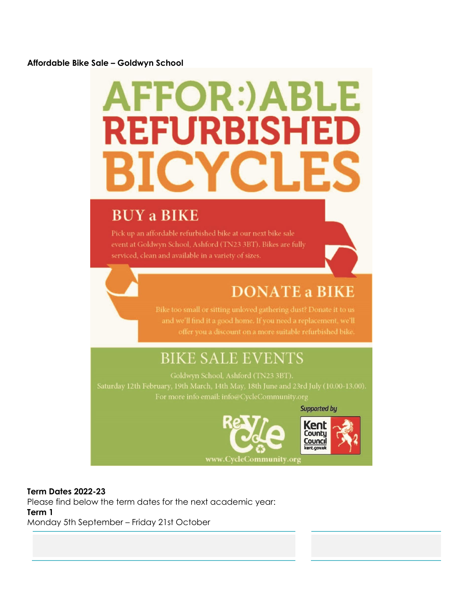#### **Affordable Bike Sale – Goldwyn School**

# **AFFOR:)ABLE REFURBISHED**

## **BUY a BIKE**

Pick up an affordable refurbished bike at our next bike sale event at Goldwyn School, Ashford (TN23 3BT). Bikes are fully serviced, clean and available in a variety of sizes.

## **DONATE a BIKE**

and we'll find it a good home. If you need a replacement, we'll

## **BIKE SALE EVENTS**



#### **Term Dates 2022-23**

Please find below the term dates for the next academic year: **Term 1**  Monday 5th September – Friday 21st October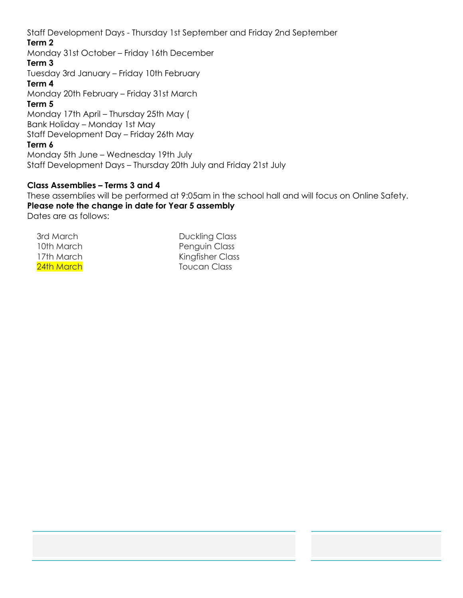Staff Development Days - Thursday 1st September and Friday 2nd September **Term 2**  Monday 31st October – Friday 16th December

#### **Term 3**

Tuesday 3rd January – Friday 10th February

#### **Term 4**

Monday 20th February – Friday 31st March

#### **Term 5**

Monday 17th April – Thursday 25th May ( Bank Holiday – Monday 1st May Staff Development Day – Friday 26th May

#### **Term 6**

Monday 5th June – Wednesday 19th July Staff Development Days – Thursday 20th July and Friday 21st July

#### **Class Assemblies – Terms 3 and 4**

These assemblies will be performed at 9:05am in the school hall and will focus on Online Safety. **Please note the change in date for Year 5 assembly**  Dates are as follows:

17th March 24th March

3rd March Duckling Class 10th March **Penguin Class** Kingfisher Class Toucan Class